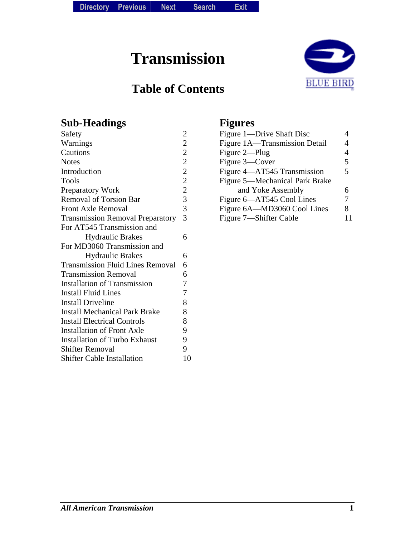**Transmission** 

# **Table of Contents**



### **Sub-Headings**

| Safety                                  | $\overline{\mathbf{c}}$                    |
|-----------------------------------------|--------------------------------------------|
| Warnings                                | $\overline{c}$                             |
| Cautions                                | $\overline{c}$                             |
| <b>Notes</b>                            | $\overline{c}$                             |
| Introduction                            |                                            |
| Tools                                   |                                            |
| Preparatory Work                        | $\begin{array}{c} 2 \\ 2 \\ 3 \end{array}$ |
| <b>Removal of Torsion Bar</b>           |                                            |
| <b>Front Axle Removal</b>               | $\overline{\mathbf{3}}$                    |
| <b>Transmission Removal Preparatory</b> | 3                                          |
| For AT545 Transmission and              |                                            |
| <b>Hydraulic Brakes</b>                 | 6                                          |
| For MD3060 Transmission and             |                                            |
| <b>Hydraulic Brakes</b>                 | 6                                          |
| <b>Transmission Fluid Lines Removal</b> | 6                                          |
| <b>Transmission Removal</b>             | 6                                          |
| <b>Installation of Transmission</b>     | 7                                          |
| <b>Install Fluid Lines</b>              | $\overline{7}$                             |
| <b>Install Driveline</b>                | 8                                          |
| <b>Install Mechanical Park Brake</b>    | 8                                          |
| <b>Install Electrical Controls</b>      | 8                                          |
| <b>Installation of Front Axle</b>       | 9                                          |
| <b>Installation of Turbo Exhaust</b>    | 9                                          |
| <b>Shifter Removal</b>                  | 9                                          |
| <b>Shifter Cable Installation</b>       | 10                                         |
|                                         |                                            |

# **Figures**

| Figure 1—Drive Shaft Disc      |   |
|--------------------------------|---|
| Figure 1A-Transmission Detail  |   |
| Figure 2-Plug                  | 4 |
| Figure 3—Cover                 | 5 |
| Figure 4-AT545 Transmission    | 5 |
| Figure 5—Mechanical Park Brake |   |
| and Yoke Assembly              | 6 |
| Figure 6-AT545 Cool Lines      | 7 |
| Figure 6A—MD3060 Cool Lines    | 8 |
| Figure 7—Shifter Cable         |   |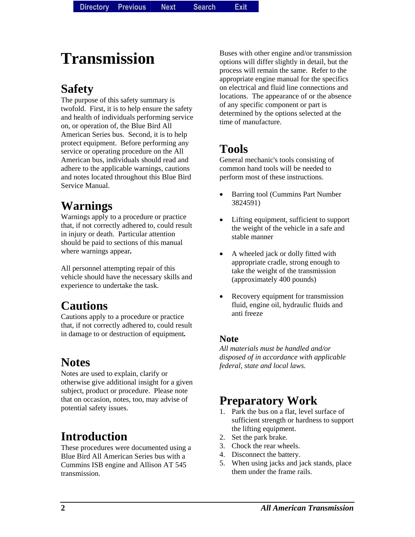# **Transmission**

# **Safety**

The purpose of this safety summary is twofold. First, it is to help ensure the safety and health of individuals performing service on, or operation of, the Blue Bird All American Series bus. Second, it is to help protect equipment. Before performing any service or operating procedure on the All American bus, individuals should read and adhere to the applicable warnings, cautions and notes located throughout this Blue Bird Service Manual.

# **Warnings**

Warnings apply to a procedure or practice that, if not correctly adhered to, could result in injury or death. Particular attention should be paid to sections of this manual where warnings appear*.* 

All personnel attempting repair of this vehicle should have the necessary skills and experience to undertake the task.

# **Cautions**

Cautions apply to a procedure or practice that, if not correctly adhered to, could result in damage to or destruction of equipment*.* 

# **Notes**

Notes are used to explain, clarify or otherwise give additional insight for a given subject, product or procedure. Please note that on occasion, notes, too, may advise of potential safety issues.

# **Introduction**

These procedures were documented using a Blue Bird All American Series bus with a Cummins ISB engine and Allison AT 545 transmission.

Buses with other engine and/or transmission options will differ slightly in detail, but the process will remain the same. Refer to the appropriate engine manual for the specifics on electrical and fluid line connections and locations. The appearance of or the absence of any specific component or part is determined by the options selected at the time of manufacture.

# **Tools**

General mechanic's tools consisting of common hand tools will be needed to perform most of these instructions.

- Barring tool (Cummins Part Number 3824591)
- Lifting equipment, sufficient to support the weight of the vehicle in a safe and stable manner
- A wheeled jack or dolly fitted with appropriate cradle, strong enough to take the weight of the transmission (approximately 400 pounds)
- Recovery equipment for transmission fluid, engine oil, hydraulic fluids and anti freeze

#### **Note**

*All materials must be handled and/or disposed of in accordance with applicable federal, state and local laws.* 

### **Preparatory Work**

- 1. Park the bus on a flat, level surface of sufficient strength or hardness to support the lifting equipment.
- 2. Set the park brake.
- 3. Chock the rear wheels.
- 4. Disconnect the battery.
- 5. When using jacks and jack stands, place them under the frame rails.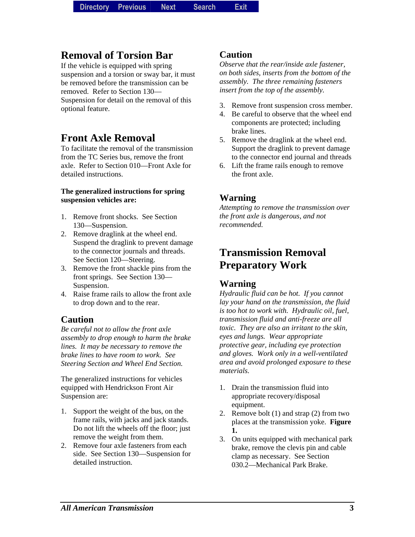### **Removal of Torsion Bar**

If the vehicle is equipped with spring suspension and a torsion or sway bar, it must be removed before the transmission can be removed. Refer to Section 130— Suspension for detail on the removal of this optional feature.

### **Front Axle Removal**

To facilitate the removal of the transmission from the TC Series bus, remove the front axle. Refer to Section 010—Front Axle for detailed instructions.

#### **The generalized instructions for spring suspension vehicles are:**

- 1. Remove front shocks. See Section 130—Suspension.
- 2. Remove draglink at the wheel end. Suspend the draglink to prevent damage to the connector journals and threads. See Section 120—Steering.
- 3. Remove the front shackle pins from the front springs. See Section 130— Suspension.
- 4. Raise frame rails to allow the front axle to drop down and to the rear.

#### **Caution**

*Be careful not to allow the front axle assembly to drop enough to harm the brake lines. It may be necessary to remove the brake lines to have room to work. See Steering Section and Wheel End Section.* 

The generalized instructions for vehicles equipped with Hendrickson Front Air Suspension are:

- 1. Support the weight of the bus, on the frame rails, with jacks and jack stands. Do not lift the wheels off the floor; just remove the weight from them.
- 2. Remove four axle fasteners from each side. See Section 130—Suspension for detailed instruction.

#### **Caution**

*Observe that the rear/inside axle fastener, on both sides, inserts from the bottom of the assembly. The three remaining fasteners insert from the top of the assembly.* 

- 3. Remove front suspension cross member.
- 4. Be careful to observe that the wheel end components are protected; including brake lines.
- 5. Remove the draglink at the wheel end. Support the draglink to prevent damage to the connector end journal and threads
- 6. Lift the frame rails enough to remove the front axle.

### **Warning**

*Attempting to remove the transmission over the front axle is dangerous, and not recommended.* 

### **Transmission Removal Preparatory Work**

### **Warning**

*Hydraulic fluid can be hot. If you cannot lay your hand on the transmission, the fluid is too hot to work with. Hydraulic oil, fuel, transmission fluid and anti-freeze are all toxic. They are also an irritant to the skin, eyes and lungs. Wear appropriate protective gear, including eye protection and gloves. Work only in a well-ventilated area and avoid prolonged exposure to these materials.* 

- 1. Drain the transmission fluid into appropriate recovery/disposal equipment.
- 2. Remove bolt (1) and strap (2) from two places at the transmission yoke. **Figure 1.**
- 3. On units equipped with mechanical park brake, remove the clevis pin and cable clamp as necessary. See Section 030.2—Mechanical Park Brake.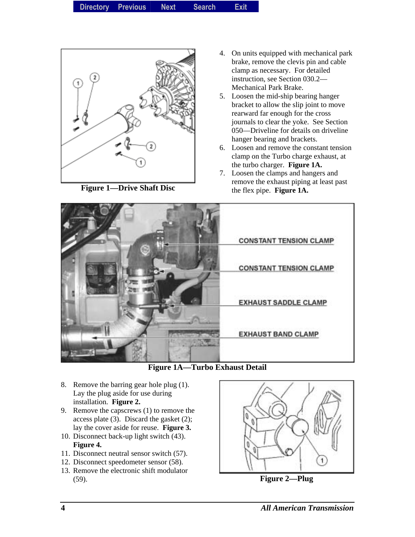| <b>Exit</b><br><b>Directory</b><br><b>Previous</b><br><b>Search</b><br><b>Next</b> |  |
|------------------------------------------------------------------------------------|--|
|------------------------------------------------------------------------------------|--|



**Figure 1—Drive Shaft Disc** 

- 4. On units equipped with mechanical park brake, remove the clevis pin and cable clamp as necessary. For detailed instruction, see Section 030.2— Mechanical Park Brake.
- 5. Loosen the mid-ship bearing hanger bracket to allow the slip joint to move rearward far enough for the cross journals to clear the yoke. See Section 050—Driveline for details on driveline hanger bearing and brackets.
- 6. Loosen and remove the constant tension clamp on the Turbo charge exhaust, at the turbo charger. **Figure 1A.**
- 7. Loosen the clamps and hangers and remove the exhaust piping at least past the flex pipe. **Figure 1A.**



**Figure 1A—Turbo Exhaust Detail** 

- 8. Remove the barring gear hole plug (1). Lay the plug aside for use during installation. **Figure 2.**
- 9. Remove the capscrews (1) to remove the access plate (3). Discard the gasket (2); lay the cover aside for reuse. **Figure 3.**
- 10. Disconnect back-up light switch (43). **Figure 4.**
- 11. Disconnect neutral sensor switch (57).
- 12. Disconnect speedometer sensor (58).
- 13. Remove the electronic shift modulator (59). **Figure 2—Plug**

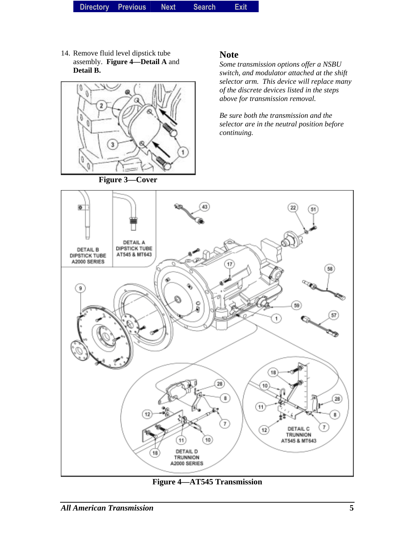14. Remove fluid level dipstick tube assembly. **Figure 4—Detail A** and **Detail B.**



#### **Figure 3—Cover**

#### **Note**

*Some transmission options offer a NSBU switch, and modulator attached at the shift selector arm. This device will replace many of the discrete devices listed in the steps above for transmission removal.* 

*Be sure both the transmission and the selector are in the neutral position before continuing.* 



**Figure 4—AT545 Transmission**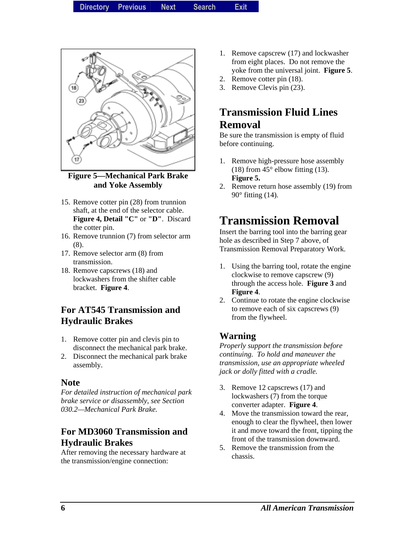

**Figure 5—Mechanical Park Brake and Yoke Assembly** 

- 15. Remove cotter pin (28) from trunnion shaft, at the end of the selector cable. **Figure 4, Detail "C"** or **"D"**. Discard the cotter pin.
- 16. Remove trunnion (7) from selector arm (8).
- 17. Remove selector arm (8) from transmission.
- 18. Remove capscrews (18) and lockwashers from the shifter cable bracket. **Figure 4**.

#### **For AT545 Transmission and Hydraulic Brakes**

- 1. Remove cotter pin and clevis pin to disconnect the mechanical park brake.
- 2. Disconnect the mechanical park brake assembly.

#### **Note**

*For detailed instruction of mechanical park brake service or disassembly, see Section 030.2—Mechanical Park Brake.* 

#### **For MD3060 Transmission and Hydraulic Brakes**

After removing the necessary hardware at the transmission/engine connection:

- 1. Remove capscrew (17) and lockwasher from eight places. Do not remove the yoke from the universal joint. **Figure 5**.
- 2. Remove cotter pin (18).
- 3. Remove Clevis pin (23).

### **Transmission Fluid Lines Removal**

Be sure the transmission is empty of fluid before continuing.

- 1. Remove high-pressure hose assembly (18) from  $45^{\circ}$  elbow fitting (13). **Figure 5.**
- 2. Remove return hose assembly (19) from 90° fitting (14).

### **Transmission Removal**

Insert the barring tool into the barring gear hole as described in Step 7 above, of Transmission Removal Preparatory Work.

- 1. Using the barring tool, rotate the engine clockwise to remove capscrew (9) through the access hole. **Figure 3** and **Figure 4**.
- 2. Continue to rotate the engine clockwise to remove each of six capscrews (9) from the flywheel.

#### **Warning**

*Properly support the transmission before continuing. To hold and maneuver the transmission, use an appropriate wheeled jack or dolly fitted with a cradle.* 

- 3. Remove 12 capscrews (17) and lockwashers (7) from the torque converter adapter. **Figure 4**.
- 4. Move the transmission toward the rear, enough to clear the flywheel, then lower it and move toward the front, tipping the front of the transmission downward.
- 5. Remove the transmission from the chassis.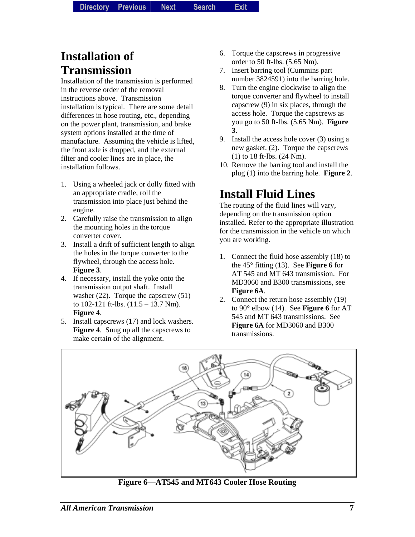# **Installation of Transmission**

Installation of the transmission is performed in the reverse order of the removal instructions above. Transmission installation is typical. There are some detail differences in hose routing, etc., depending on the power plant, transmission, and brake system options installed at the time of manufacture. Assuming the vehicle is lifted, the front axle is dropped, and the external filter and cooler lines are in place, the installation follows.

- 1. Using a wheeled jack or dolly fitted with an appropriate cradle, roll the transmission into place just behind the engine.
- 2. Carefully raise the transmission to align the mounting holes in the torque converter cover.
- 3. Install a drift of sufficient length to align the holes in the torque converter to the flywheel, through the access hole. **Figure 3**.
- 4. If necessary, install the yoke onto the transmission output shaft. Install washer (22). Torque the capscrew (51) to 102-121 ft-lbs. (11.5 – 13.7 Nm). **Figure 4**.
- 5. Install capscrews (17) and lock washers. **Figure 4**. Snug up all the capscrews to make certain of the alignment.
- 6. Torque the capscrews in progressive order to 50 ft-lbs. (5.65 Nm).
- 7. Insert barring tool (Cummins part number 3824591) into the barring hole.
- 8. Turn the engine clockwise to align the torque converter and flywheel to install capscrew (9) in six places, through the access hole. Torque the capscrews as you go to 50 ft-lbs. (5.65 Nm). **Figure 3.**
- 9. Install the access hole cover (3) using a new gasket. (2). Torque the capscrews (1) to 18 ft-lbs. (24 Nm).
- 10. Remove the barring tool and install the plug (1) into the barring hole. **Figure 2**.

# **Install Fluid Lines**

The routing of the fluid lines will vary, depending on the transmission option installed. Refer to the appropriate illustration for the transmission in the vehicle on which you are working.

- 1. Connect the fluid hose assembly (18) to the 45° fitting (13). See **Figure 6** for AT 545 and MT 643 transmission. For MD3060 and B300 transmissions, see **Figure 6A**.
- 2. Connect the return hose assembly (19) to 90° elbow (14). See **Figure 6** for AT 545 and MT 643 transmissions. See **Figure 6A** for MD3060 and B300 transmissions.



**Figure 6—AT545 and MT643 Cooler Hose Routing**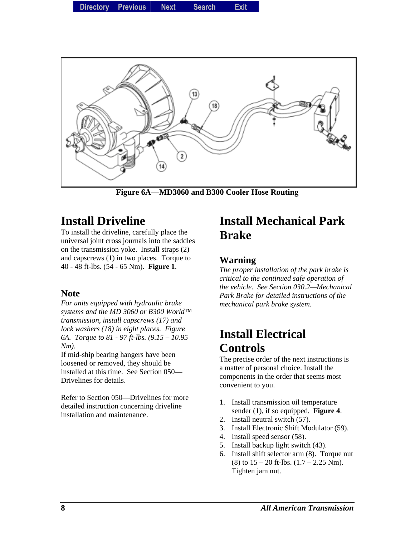

**Figure 6A—MD3060 and B300 Cooler Hose Routing** 

# **Install Driveline**

To install the driveline, carefully place the universal joint cross journals into the saddles on the transmission yoke. Install straps (2) and capscrews (1) in two places. Torque to 40 - 48 ft-lbs. (54 - 65 Nm). **Figure 1**.

#### **Note**

*For units equipped with hydraulic brake systems and the MD 3060 or B300 World™ transmission, install capscrews (17) and lock washers (18) in eight places. Figure 6A. Torque to 81 - 97 ft-lbs. (9.15 – 10.95 Nm).* 

If mid-ship bearing hangers have been loosened or removed, they should be installed at this time. See Section 050— Drivelines for details.

Refer to Section 050—Drivelines for more detailed instruction concerning driveline installation and maintenance.

### **Install Mechanical Park Brake**

#### **Warning**

*The proper installation of the park brake is critical to the continued safe operation of the vehicle. See Section 030.2—Mechanical Park Brake for detailed instructions of the mechanical park brake system.* 

# **Install Electrical Controls**

The precise order of the next instructions is a matter of personal choice. Install the components in the order that seems most convenient to you.

- 1. Install transmission oil temperature sender (1), if so equipped. **Figure 4**.
- 2. Install neutral switch (57).
- 3. Install Electronic Shift Modulator (59).
- 4. Install speed sensor (58).
- 5. Install backup light switch (43).
- 6. Install shift selector arm (8). Torque nut (8) to  $15 - 20$  ft-lbs.  $(1.7 - 2.25$  Nm). Tighten jam nut.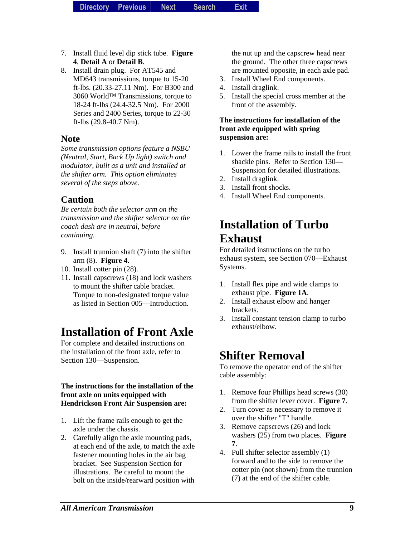- 7. Install fluid level dip stick tube. **Figure 4**, **Detail A** or **Detail B**.
- 8. Install drain plug. For AT545 and MD643 transmissions, torque to 15-20 ft-lbs. (20.33-27.11 Nm). For B300 and 3060 World™ Transmissions, torque to 18-24 ft-lbs (24.4-32.5 Nm). For 2000 Series and 2400 Series, torque to 22-30 ft-lbs (29.8-40.7 Nm).

#### **Note**

*Some transmission options feature a NSBU (Neutral, Start, Back Up light) switch and modulator, built as a unit and installed at the shifter arm. This option eliminates several of the steps above.* 

#### **Caution**

*Be certain both the selector arm on the transmission and the shifter selector on the coach dash are in neutral, before continuing.* 

- 9. Install trunnion shaft (7) into the shifter arm (8). **Figure 4**.
- 10. Install cotter pin (28).
- 11. Install capscrews (18) and lock washers to mount the shifter cable bracket. Torque to non-designated torque value as listed in Section 005—Introduction.

# **Installation of Front Axle**

For complete and detailed instructions on the installation of the front axle, refer to Section 130—Suspension.

#### **The instructions for the installation of the front axle on units equipped with Hendrickson Front Air Suspension are:**

- 1. Lift the frame rails enough to get the axle under the chassis.
- 2. Carefully align the axle mounting pads, at each end of the axle, to match the axle fastener mounting holes in the air bag bracket. See Suspension Section for illustrations. Be careful to mount the bolt on the inside/rearward position with

the nut up and the capscrew head near the ground. The other three capscrews are mounted opposite, in each axle pad.

- 3. Install Wheel End components.
- 4. Install draglink.
- 5. Install the special cross member at the front of the assembly.

#### **The instructions for installation of the front axle equipped with spring suspension are:**

- 1. Lower the frame rails to install the front shackle pins. Refer to Section 130— Suspension for detailed illustrations.
- 2. Install draglink.
- 3. Install front shocks.
- 4. Install Wheel End components.

# **Installation of Turbo Exhaust**

For detailed instructions on the turbo exhaust system, see Section 070—Exhaust Systems.

- 1. Install flex pipe and wide clamps to exhaust pipe. **Figure 1A**.
- 2. Install exhaust elbow and hanger brackets.
- 3. Install constant tension clamp to turbo exhaust/elbow.

# **Shifter Removal**

To remove the operator end of the shifter cable assembly:

- 1. Remove four Phillips head screws (30) from the shifter lever cover. **Figure 7**.
- 2. Turn cover as necessary to remove it over the shifter "T" handle.
- 3. Remove capscrews (26) and lock washers (25) from two places. **Figure 7**.
- 4. Pull shifter selector assembly (1) forward and to the side to remove the cotter pin (not shown) from the trunnion (7) at the end of the shifter cable.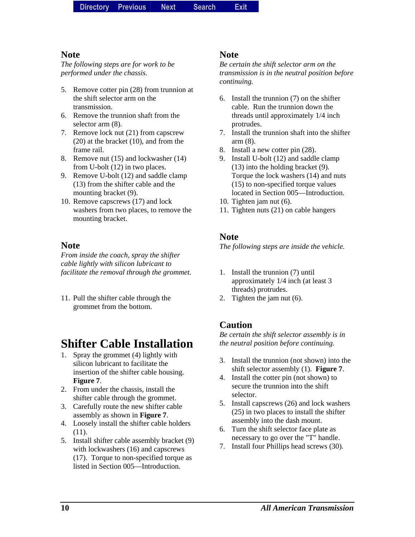#### **Note**

*The following steps are for work to be performed under the chassis.* 

- 5. Remove cotter pin (28) from trunnion at the shift selector arm on the transmission.
- 6. Remove the trunnion shaft from the selector arm (8).
- 7. Remove lock nut (21) from capscrew (20) at the bracket (10), and from the frame rail.
- 8. Remove nut (15) and lockwasher (14) from U-bolt (12) in two places.
- 9. Remove U-bolt (12) and saddle clamp (13) from the shifter cable and the mounting bracket (9).
- 10. Remove capscrews (17) and lock washers from two places, to remove the mounting bracket.

#### **Note**

*From inside the coach, spray the shifter cable lightly with silicon lubricant to facilitate the removal through the grommet.*

11. Pull the shifter cable through the grommet from the bottom.

# **Shifter Cable Installation**

- 1. Spray the grommet (4) lightly with silicon lubricant to facilitate the insertion of the shifter cable housing. **Figure 7**.
- 2. From under the chassis, install the shifter cable through the grommet.
- 3. Carefully route the new shifter cable assembly as shown in **Figure 7**.
- 4. Loosely install the shifter cable holders (11).
- 5. Install shifter cable assembly bracket (9) with lockwashers (16) and capscrews (17). Torque to non-specified torque as listed in Section 005—Introduction.

#### **Note**

*Be certain the shift selector arm on the transmission is in the neutral position before continuing.* 

- 6. Install the trunnion (7) on the shifter cable. Run the trunnion down the threads until approximately 1/4 inch protrudes.
- 7. Install the trunnion shaft into the shifter arm (8).
- 8. Install a new cotter pin (28).
- 9. Install U-bolt (12) and saddle clamp (13) into the holding bracket (9). Torque the lock washers (14) and nuts (15) to non-specified torque values located in Section 005—Introduction.
- 10. Tighten jam nut (6).
- 11. Tighten nuts (21) on cable hangers

#### **Note**

*The following steps are inside the vehicle.* 

- 1. Install the trunnion (7) until approximately 1/4 inch (at least 3 threads) protrudes.
- 2. Tighten the jam nut (6).

#### **Caution**

*Be certain the shift selector assembly is in the neutral position before continuing.* 

- 3. Install the trunnion (not shown) into the shift selector assembly (1). **Figure 7**.
- 4. Install the cotter pin (not shown) to secure the trunnion into the shift selector.
- 5. Install capscrews (26) and lock washers (25) in two places to install the shifter assembly into the dash mount.
- 6. Turn the shift selector face plate as necessary to go over the "T" handle.
- 7. Install four Phillips head screws (30).